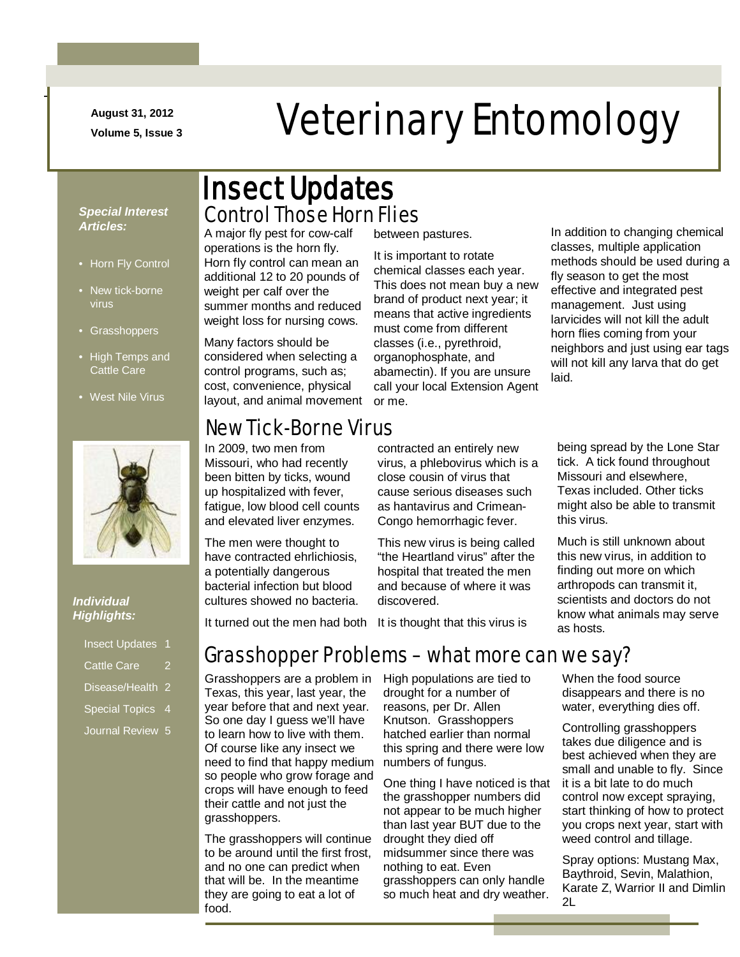**August 31, 2012**

-

# August 31, 2012<br>Volume 5, Issue 3<br> **Veterinary Entomology**

#### *Special Interest Articles:*

- Horn Fly Control
- New tick-borne virus
- Grasshoppers
- High Temps and Cattle Care
- West Nile Virus



#### *Individual Highlights:*

| <b>Insect Updates</b>       |   |
|-----------------------------|---|
| <b>Cattle Care</b>          | 2 |
| Disease/Health <sub>2</sub> |   |
| <b>Special Topics</b>       | 4 |
| Journal Review 5            |   |

### Control Those Horn Flies Insect Updates

A major fly pest for cow-calf operations is the horn fly. Horn fly control can mean an additional 12 to 20 pounds of weight per calf over the summer months and reduced weight loss for nursing cows.

Many factors should be considered when selecting a control programs, such as; cost, convenience, physical layout, and animal movement or me.

#### New Tick-Borne Virus

In 2009, two men from Missouri, who had recently been bitten by ticks, wound up hospitalized with fever, fatigue, low blood cell counts and elevated liver enzymes.

The men were thought to have contracted ehrlichiosis, a potentially dangerous bacterial infection but blood cultures showed no bacteria. between pastures.

It is important to rotate chemical classes each year. This does not mean buy a new brand of product next year; it means that active ingredients must come from different classes (i.e., pyrethroid, organophosphate, and abamectin). If you are unsure call your local Extension Agent

contracted an entirely new virus, a phlebovirus which is a close cousin of virus that cause serious diseases such as hantavirus and Crimean-Congo hemorrhagic fever.

This new virus is being called "the Heartland virus" after the hospital that treated the men and because of where it was discovered.

It turned out the men had both It is thought that this virus is

#### Grasshopper Problems – what more can we say?

Grasshoppers are a problem in Texas, this year, last year, the year before that and next year. So one day I guess we'll have to learn how to live with them. Of course like any insect we need to find that happy medium so people who grow forage and crops will have enough to feed their cattle and not just the grasshoppers.

The grasshoppers will continue to be around until the first frost, and no one can predict when that will be. In the meantime they are going to eat a lot of food.

High populations are tied to drought for a number of reasons, per Dr. Allen Knutson. Grasshoppers hatched earlier than normal this spring and there were low numbers of fungus.

One thing I have noticed is that the grasshopper numbers did not appear to be much higher than last year BUT due to the drought they died off midsummer since there was nothing to eat. Even grasshoppers can only handle so much heat and dry weather.

In addition to changing chemical classes, multiple application methods should be used during a fly season to get the most effective and integrated pest management. Just using larvicides will not kill the adult horn flies coming from your neighbors and just using ear tags will not kill any larva that do get laid.

being spread by the Lone Star tick. A tick found throughout Missouri and elsewhere, Texas included. Other ticks might also be able to transmit this virus.

Much is still unknown about this new virus, in addition to finding out more on which arthropods can transmit it, scientists and doctors do not know what animals may serve as hosts.

When the food source disappears and there is no water, everything dies off.

Controlling grasshoppers takes due diligence and is best achieved when they are small and unable to fly. Since it is a bit late to do much control now except spraying, start thinking of how to protect you crops next year, start with weed control and tillage.

Spray options: Mustang Max, Baythroid, Sevin, Malathion, Karate Z, Warrior II and Dimlin 2L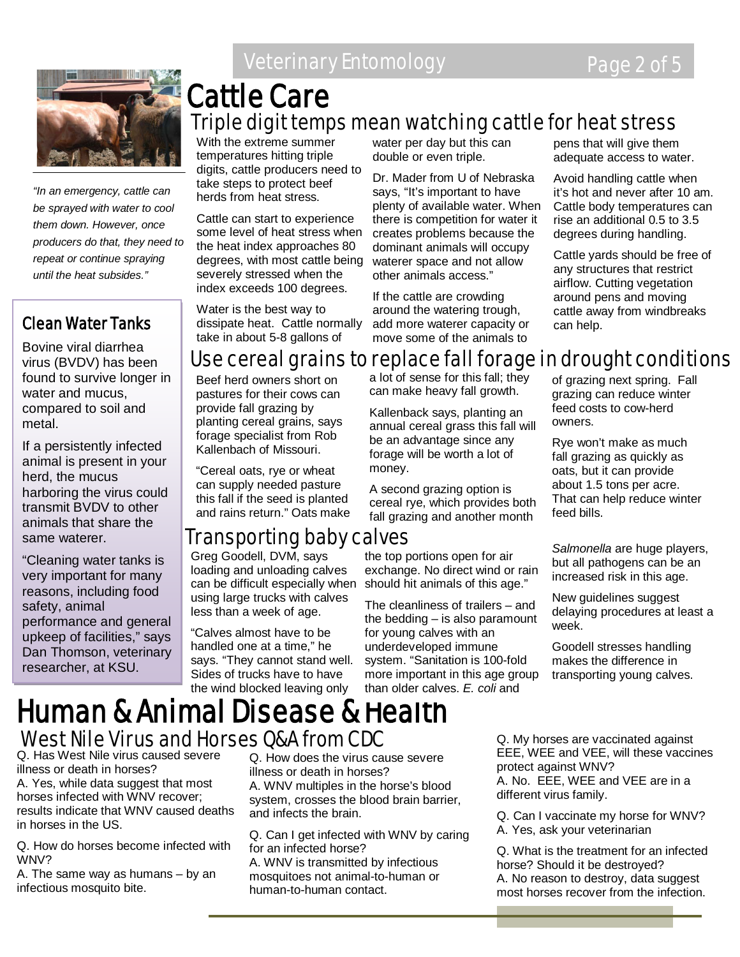

*"In an emergency, cattle can be sprayed with water to cool them down. However, once producers do that, they need to repeat or continue spraying until the heat subsides."*

#### Clean Water Tanks

Bovine viral diarrhea virus (BVDV) has been found to survive longer in water and mucus, compared to soil and metal.

If a persistently infected animal is present in your herd, the mucus harboring the virus could transmit BVDV to other animals that share the same waterer.

"Cleaning water tanks is very important for many reasons, including food safety, animal performance and general upkeep of facilities," says Dan Thomson, veterinary researcher, at KSU.

**Veterinary Entomology Page 2 of 5** 

### Triple digit temps mean watching cattle for heat stress Cattle Care

With the extreme summer temperatures hitting triple digits, cattle producers need to take steps to protect beef herds from heat stress.

Cattle can start to experience some level of heat stress when the heat index approaches 80 degrees, with most cattle being severely stressed when the index exceeds 100 degrees.

Water is the best way to dissipate heat. Cattle normally take in about 5-8 gallons of

water per day but this can double or even triple.

Dr. Mader from U of Nebraska says, "It's important to have plenty of available water. When there is competition for water it creates problems because the dominant animals will occupy waterer space and not allow other animals access."

If the cattle are crowding around the watering trough, add more waterer capacity or move some of the animals to

pens that will give them adequate access to water.

Avoid handling cattle when it's hot and never after 10 am. Cattle body temperatures can rise an additional 0.5 to 3.5 degrees during handling.

Cattle yards should be free of any structures that restrict airflow. Cutting vegetation around pens and moving cattle away from windbreaks can help.

#### Use cereal grains to replace fall forage in drought conditions

Beef herd owners short on pastures for their cows can provide fall grazing by planting cereal grains, says forage specialist from Rob Kallenbach of Missouri.

"Cereal oats, rye or wheat can supply needed pasture this fall if the seed is planted and rains return." Oats make

#### Transporting baby calves

Greg Goodell, DVM, says loading and unloading calves can be difficult especially when using large trucks with calves less than a week of age.

"Calves almost have to be handled one at a time," he says. "They cannot stand well. Sides of trucks have to have the wind blocked leaving only

a lot of sense for this fall; they can make heavy fall growth.

Kallenback says, planting an annual cereal grass this fall will be an advantage since any forage will be worth a lot of money.

A second grazing option is cereal rye, which provides both fall grazing and another month

the top portions open for air exchange. No direct wind or rain should hit animals of this age."

The cleanliness of trailers – and the bedding – is also paramount for young calves with an underdeveloped immune system. "Sanitation is 100-fold more important in this age group than older calves. *E. coli* and

of grazing next spring. Fall grazing can reduce winter feed costs to cow-herd owners.

Rye won't make as much fall grazing as quickly as oats, but it can provide about 1.5 tons per acre. That can help reduce winter feed bills.

*Salmonella* are huge players, but all pathogens can be an increased risk in this age.

New guidelines suggest delaying procedures at least a week.

Goodell stresses handling makes the difference in transporting young calves.

#### Human & Animal Disease & Health West Nile Virus and Horses Q&A from CDC

Q. Has West Nile virus caused severe illness or death in horses?

A. Yes, while data suggest that most horses infected with WNV recover; results indicate that WNV caused deaths in horses in the US.

Q. How do horses become infected with WNV?

A. The same way as humans – by an infectious mosquito bite.

Q. How does the virus cause severe illness or death in horses?

A. WNV multiples in the horse's blood system, crosses the blood brain barrier, and infects the brain.

Q. Can I get infected with WNV by caring for an infected horse?

A. WNV is transmitted by infectious mosquitoes not animal-to-human or human-to-human contact.

Q. My horses are vaccinated against EEE, WEE and VEE, will these vaccines protect against WNV? A. No. EEE, WEE and VEE are in a different virus family.

Q. Can I vaccinate my horse for WNV? A. Yes, ask your veterinarian

Q. What is the treatment for an infected horse? Should it be destroyed? A. No reason to destroy, data suggest most horses recover from the infection.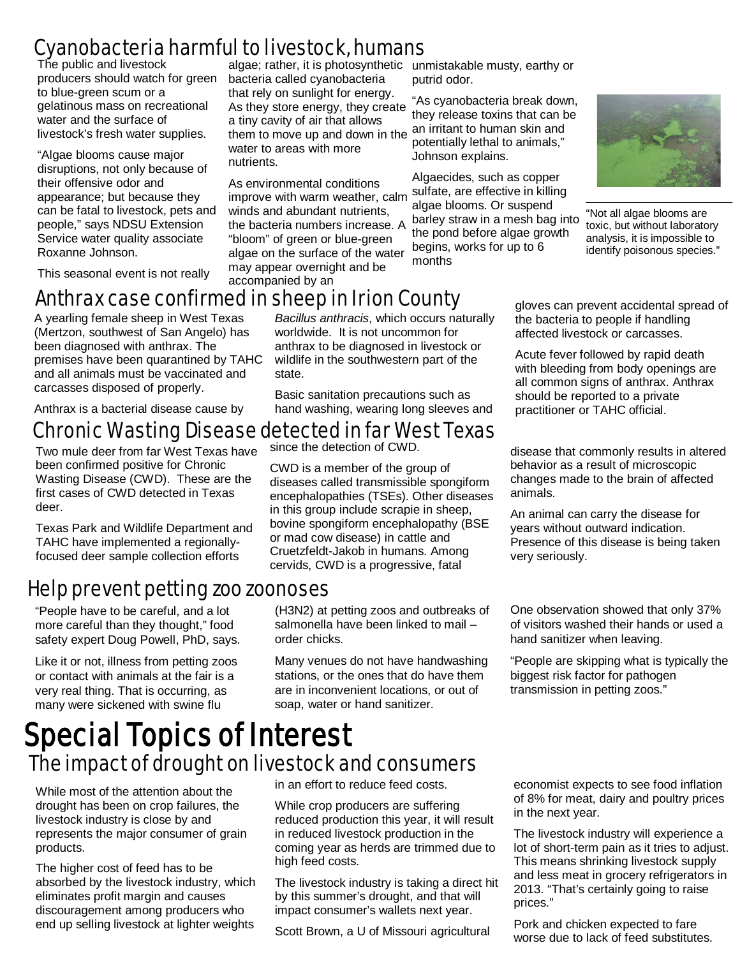#### Cyanobacteria harmful to livestock, humans

The public and livestock producers should watch for green to blue-green scum or a gelatinous mass on recreational water and the surface of livestock's fresh water supplies.

"Algae blooms cause major disruptions, not only because of their offensive odor and appearance; but because they can be fatal to livestock, pets and people," says NDSU Extension Service water quality associate Roxanne Johnson.

This seasonal event is not really

algae; rather, it is photosynthetic unmistakable musty, earthy or bacteria called cyanobacteria that rely on sunlight for energy. As they store energy, they create a tiny cavity of air that allows them to move up and down in the water to areas with more nutrients.

As environmental conditions improve with warm weather, calm winds and abundant nutrients, the bacteria numbers increase. A "bloom" of green or blue-green algae on the surface of the water may appear overnight and be accompanied by an

putrid odor.

"As cyanobacteria break down, they release toxins that can be an irritant to human skin and potentially lethal to animals," Johnson explains.

Algaecides, such as copper sulfate, are effective in killing algae blooms. Or suspend barley straw in a mesh bag into the pond before algae growth begins, works for up to 6 months



"Not all algae blooms are toxic, but without laboratory analysis, it is impossible to identify poisonous species."

#### Anthrax case confirmed in sheep in Irion County

A yearling female sheep in West Texas (Mertzon, southwest of San Angelo) has been diagnosed with anthrax. The premises have been quarantined by TAHC and all animals must be vaccinated and carcasses disposed of properly.

Anthrax is a bacterial disease cause by

# **Chronic Wasting Disease detected in far West Texas**<br>Two multiples from for West Texas have since the detection of CWD.

Two mule deer from far West Texas have been confirmed positive for Chronic Wasting Disease (CWD). These are the first cases of CWD detected in Texas deer.

Texas Park and Wildlife Department and TAHC have implemented a regionallyfocused deer sample collection efforts

#### Help prevent petting zoo zoonoses

"People have to be careful, and a lot more careful than they thought," food safety expert Doug Powell, PhD, says.

Like it or not, illness from petting zoos or contact with animals at the fair is a very real thing. That is occurring, as many were sickened with swine flu

*Bacillus anthracis*, which occurs naturally worldwide. It is not uncommon for anthrax to be diagnosed in livestock or wildlife in the southwestern part of the state.

Basic sanitation precautions such as hand washing, wearing long sleeves and

CWD is a member of the group of diseases called transmissible spongiform encephalopathies (TSEs). Other diseases in this group include scrapie in sheep, bovine spongiform encephalopathy (BSE or mad cow disease) in cattle and Cruetzfeldt-Jakob in humans. Among cervids, CWD is a progressive, fatal

(H3N2) at petting zoos and outbreaks of salmonella have been linked to mail – order chicks.

Many venues do not have handwashing stations, or the ones that do have them are in inconvenient locations, or out of soap, water or hand sanitizer.

gloves can prevent accidental spread of the bacteria to people if handling affected livestock or carcasses.

Acute fever followed by rapid death with bleeding from body openings are all common signs of anthrax. Anthrax should be reported to a private practitioner or TAHC official.

disease that commonly results in altered behavior as a result of microscopic changes made to the brain of affected animals.

An animal can carry the disease for years without outward indication. Presence of this disease is being taken very seriously.

One observation showed that only 37% of visitors washed their hands or used a hand sanitizer when leaving.

"People are skipping what is typically the biggest risk factor for pathogen transmission in petting zoos."

# Special Topics of Interest The impact of drought on livestock and consumers

While most of the attention about the drought has been on crop failures, the livestock industry is close by and represents the major consumer of grain products.

The higher cost of feed has to be absorbed by the livestock industry, which eliminates profit margin and causes discouragement among producers who end up selling livestock at lighter weights

in an effort to reduce feed costs.

While crop producers are suffering reduced production this year, it will result in reduced livestock production in the coming year as herds are trimmed due to high feed costs.

The livestock industry is taking a direct hit by this summer's drought, and that will impact consumer's wallets next year.

Scott Brown, a U of Missouri agricultural

economist expects to see food inflation of 8% for meat, dairy and poultry prices in the next year.

The livestock industry will experience a lot of short-term pain as it tries to adjust. This means shrinking livestock supply and less meat in grocery refrigerators in 2013. "That's certainly going to raise prices."

Pork and chicken expected to fare worse due to lack of feed substitutes.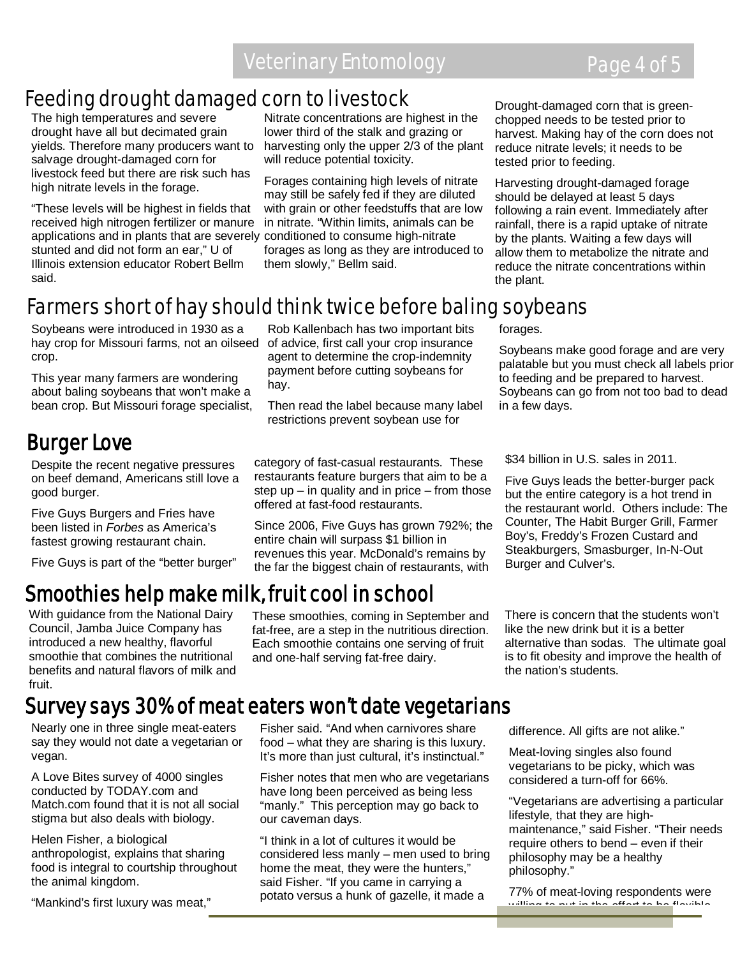#### Feeding drought damaged corn to livestock

The high temperatures and severe drought have all but decimated grain yields. Therefore many producers want to salvage drought-damaged corn for livestock feed but there are risk such has high nitrate levels in the forage.

"These levels will be highest in fields that received high nitrogen fertilizer or manure applications and in plants that are severely conditioned to consume high-nitrate stunted and did not form an ear," U of Illinois extension educator Robert Bellm said.

Nitrate concentrations are highest in the lower third of the stalk and grazing or harvesting only the upper 2/3 of the plant will reduce potential toxicity.

Forages containing high levels of nitrate may still be safely fed if they are diluted with grain or other feedstuffs that are low in nitrate. "Within limits, animals can be forages as long as they are introduced to them slowly," Bellm said.

Rob Kallenbach has two important bits of advice, first call your crop insurance agent to determine the crop-indemnity payment before cutting soybeans for

Then read the label because many label restrictions prevent soybean use for

Drought-damaged corn that is greenchopped needs to be tested prior to harvest. Making hay of the corn does not reduce nitrate levels; it needs to be tested prior to feeding.

Harvesting drought-damaged forage should be delayed at least 5 days following a rain event. Immediately after rainfall, there is a rapid uptake of nitrate by the plants. Waiting a few days will allow them to metabolize the nitrate and reduce the nitrate concentrations within the plant.

Soybeans make good forage and are very palatable but you must check all labels prior to feeding and be prepared to harvest. Soybeans can go from not too bad to dead

#### Farmers short of hay should think twice before baling soybeans

hay.

Soybeans were introduced in 1930 as a hay crop for Missouri farms, not an oilseed crop.

This year many farmers are wondering about baling soybeans that won't make a bean crop. But Missouri forage specialist,

#### Burger Love

Despite the recent negative pressures on beef demand, Americans still love a good burger.

Five Guys Burgers and Fries have been listed in *Forbes* as America's fastest growing restaurant chain.

Five Guys is part of the "better burger"

category of fast-casual restaurants. These restaurants feature burgers that aim to be a step up  $-$  in quality and in price  $-$  from those

offered at fast-food restaurants.

Since 2006, Five Guys has grown 792%; the entire chain will surpass \$1 billion in revenues this year. McDonald's remains by the far the biggest chain of restaurants, with

# Smoothies help make milk, fruit cool in school

With guidance from the National Dairy Council, Jamba Juice Company has introduced a new healthy, flavorful smoothie that combines the nutritional benefits and natural flavors of milk and fruit.

These smoothies, coming in September and fat-free, are a step in the nutritious direction. Each smoothie contains one serving of fruit and one-half serving fat-free dairy.

\$34 billion in U.S. sales in 2011.

forages.

in a few days.

Five Guys leads the better-burger pack but the entire category is a hot trend in the restaurant world. Others include: The Counter, The Habit Burger Grill, Farmer Boy's, Freddy's Frozen Custard and Steakburgers, Smasburger, In-N-Out Burger and Culver's.

There is concern that the students won't like the new drink but it is a better alternative than sodas. The ultimate goal is to fit obesity and improve the health of the nation's students.

#### Survey says 30% of meat eaters won't date vegetarians

our caveman days.

Nearly one in three single meat-eaters say they would not date a vegetarian or vegan.

A Love Bites survey of 4000 singles conducted by TODAY.com and Match.com found that it is not all social stigma but also deals with biology.

Helen Fisher, a biological anthropologist, explains that sharing food is integral to courtship throughout the animal kingdom.

"Mankind's first luxury was meat,"

Fisher said. "And when carnivores share food – what they are sharing is this luxury. It's more than just cultural, it's instinctual." Fisher notes that men who are vegetarians have long been perceived as being less "manly." This perception may go back to

"I think in a lot of cultures it would be considered less manly – men used to bring home the meat, they were the hunters," said Fisher. "If you came in carrying a potato versus a hunk of gazelle, it made a

difference. All gifts are not alike."

Meat-loving singles also found vegetarians to be picky, which was considered a turn-off for 66%.

"Vegetarians are advertising a particular lifestyle, that they are highmaintenance," said Fisher. "Their needs require others to bend – even if their philosophy may be a healthy philosophy."

77% of meat-loving respondents were willing to put in the effort to be flexible

ī